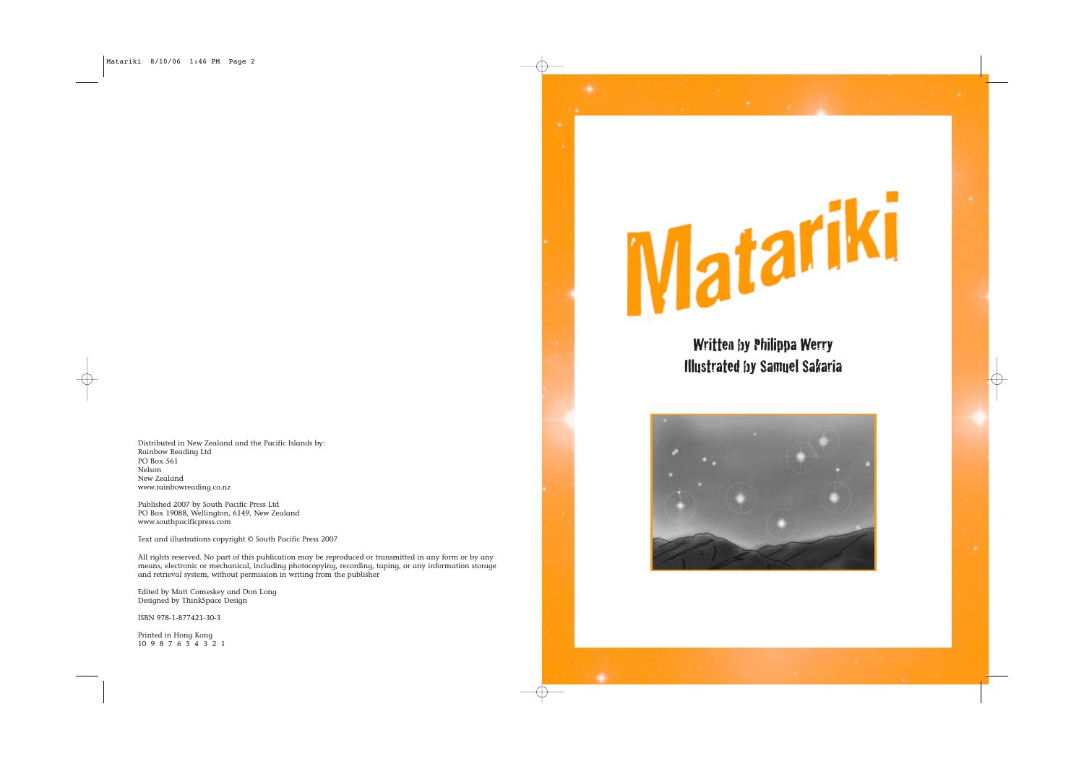Distributed in New Zealand and the Pacific Islands by: Rainbow Reading Ltd PO Box 561 Nelson New Zealand www.rainbowreading.co.nz

Published 2007 by South Pacific Press Ltd PO Box 19088, Wellington, 6149, New Zealand www.southpacificpress.com

Text and illustrations copyright © South Pacific Press 2007

All rights reserved. No part of this publication may be reproduced or transmitted in any form or by any means, electronic or mechanical, including photocopying, recording, taping, or any information storage and retrieval system, without permission in writing from the publisher

Edited by Matt Comeskey and Don Long Designed by ThinkSpace Design

ISBN 978-1-877421-30-3

Printed in Hong Kong 10 9 8 7 6 5 4 3 2 1





### Written by Philippa Werry Illustrated by Samuel Sakaria

Matariki 8/10/06 1:46 PM Page 2

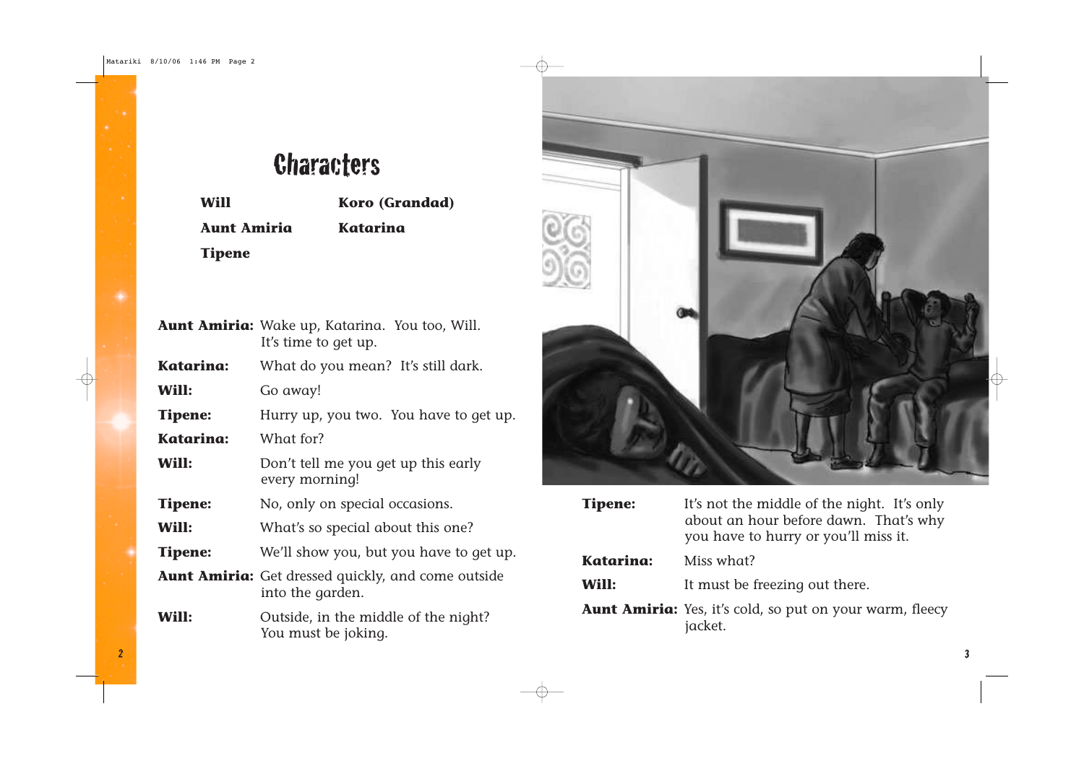**Aunt Amiria Katarina Tipene**

|                | <b>Aunt Amiria:</b> Wake up, Katarina. You too, Will.<br>It's time to get up. |  |  |
|----------------|-------------------------------------------------------------------------------|--|--|
| Katarina:      | What do you mean? It's still dark.                                            |  |  |
| Will:          | Go away!                                                                      |  |  |
| <b>Tipene:</b> | Hurry up, you two. You have to get up.                                        |  |  |
| Katarina:      | What for?                                                                     |  |  |
| Will:          | Don't tell me you get up this early<br>every morning!                         |  |  |
| <b>Tipene:</b> | No, only on special occasions.                                                |  |  |
| Will:          | What's so special about this one?                                             |  |  |
| <b>Tipene:</b> | We'll show you, but you have to get up.                                       |  |  |
|                | <b>Aunt Amiria:</b> Get dressed quickly, and come outside<br>into the garden. |  |  |
| Will:          | Outside, in the middle of the night?<br>You must be joking.                   |  |  |



|     | <b>Tipene:</b>   | It's not the middle of the night. It's only<br>about an hour before dawn. That's why<br>you have to hurry or you'll miss it. |
|-----|------------------|------------------------------------------------------------------------------------------------------------------------------|
| up. | <b>Katarina:</b> | Miss what?                                                                                                                   |
| de  | Will:            | It must be freezing out there.                                                                                               |
|     |                  | <b>Aunt Amiria:</b> Yes, it's cold, so put on your warm, fleecy<br>jacket.                                                   |

 $\frac{2}{3}$ 

## **Characters**

Will **Koro** (Grandad)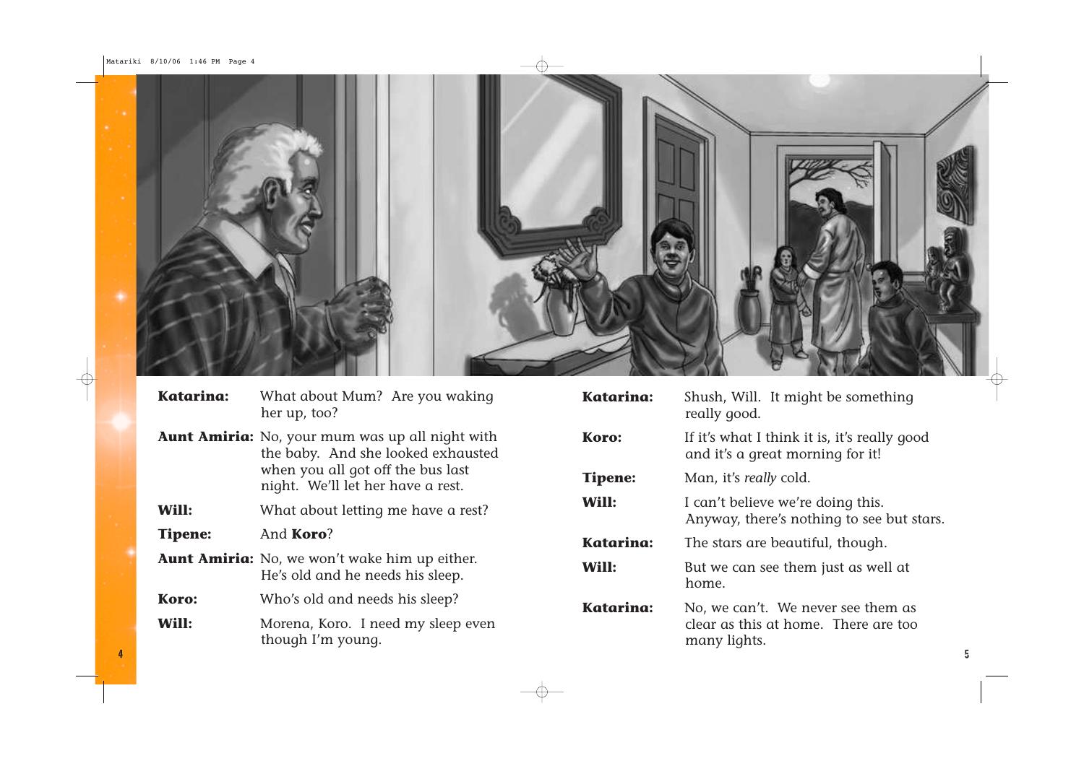| <b>Katarina:</b> | What about Mum? Are you waking<br>her up, too?                                               | Katarina:        | Shush, Will. It might be something<br>really good.                               |
|------------------|----------------------------------------------------------------------------------------------|------------------|----------------------------------------------------------------------------------|
|                  | <b>Aunt Amiria:</b> No, your mum was up all night with<br>the baby. And she looked exhausted | Koro:            | If it's what I think it is, it's really good<br>and it's a great morning for it! |
|                  | when you all got off the bus last<br>night. We'll let her have a rest.                       | <b>Tipene:</b>   | Man, it's really cold.                                                           |
| Will:            | What about letting me have a rest?                                                           | Will:            | I can't believe we're doing this.<br>Anyway, there's nothing to see but stars.   |
| <b>Tipene:</b>   | And Koro?                                                                                    | <b>Katarina:</b> | The stars are beautiful, though.                                                 |
|                  | <b>Aunt Amiria:</b> No, we won't wake him up either.<br>He's old and he needs his sleep.     | Will:            | But we can see them just as well at<br>home.                                     |
| Koro:            | Who's old and needs his sleep?                                                               | <b>Katarina:</b> | No, we can't. We never see them as                                               |
| Will:            | Morena, Koro. I need my sleep even<br>though I'm young.                                      |                  | clear as this at home. There are too<br>many lights.                             |
|                  |                                                                                              |                  |                                                                                  |

Matariki 8/10/06 1:46 PM Page 4

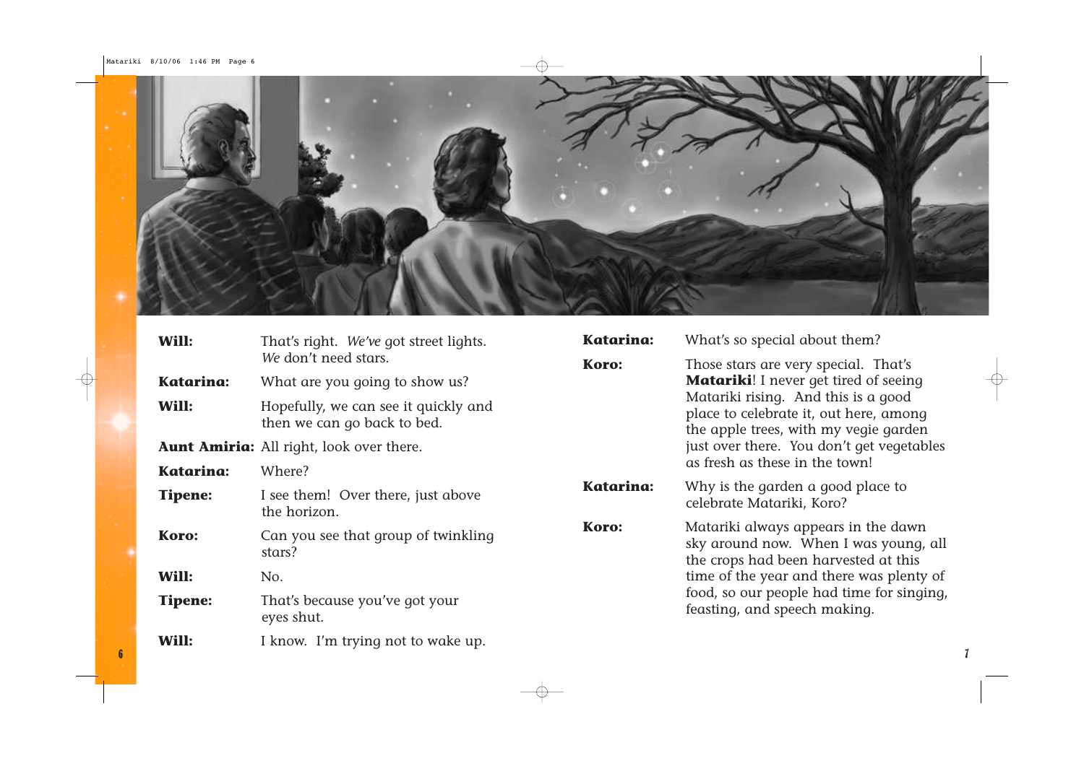| Will:<br>That's right. We've got street lights. | <b>Katarina:</b>                                                    | What's so special about them?                                             |                                                                                                                                                                     |  |
|-------------------------------------------------|---------------------------------------------------------------------|---------------------------------------------------------------------------|---------------------------------------------------------------------------------------------------------------------------------------------------------------------|--|
|                                                 | We don't need stars.                                                | Koro:                                                                     | Those stars are very special. That's                                                                                                                                |  |
| <b>Katarina:</b>                                | What are you going to show us?                                      |                                                                           | <b>Matariki!</b> I never get tired of seeing                                                                                                                        |  |
| Will:                                           | Hopefully, we can see it quickly and<br>then we can go back to bed. |                                                                           | Matariki rising. And this is a good<br>place to celebrate it, out here, among<br>the apple trees, with my vegie garden<br>just over there. You don't get vegetables |  |
|                                                 | <b>Aunt Amiria:</b> All right, look over there.                     |                                                                           |                                                                                                                                                                     |  |
| Katarina:                                       | Where?                                                              |                                                                           | as fresh as these in the town!                                                                                                                                      |  |
| <b>Tipene:</b>                                  | I see them! Over there, just above<br>the horizon.                  | <b>Katarina:</b>                                                          | Why is the garden a good place to<br>celebrate Matariki, Koro?                                                                                                      |  |
| Koro:                                           | Can you see that group of twinkling<br>stars?                       | Koro:                                                                     | Matariki always appears in the dawn<br>sky around now. When I was young, all<br>the crops had been harvested at this                                                |  |
| Will:                                           | No.                                                                 |                                                                           | time of the year and there was plenty of                                                                                                                            |  |
| <b>Tipene:</b>                                  | That's because you've got your<br>eyes shut.                        | food, so our people had time for singing,<br>feasting, and speech making. |                                                                                                                                                                     |  |
| Will:                                           | I know. I'm trying not to wake up.                                  |                                                                           |                                                                                                                                                                     |  |

### **Sout them?**



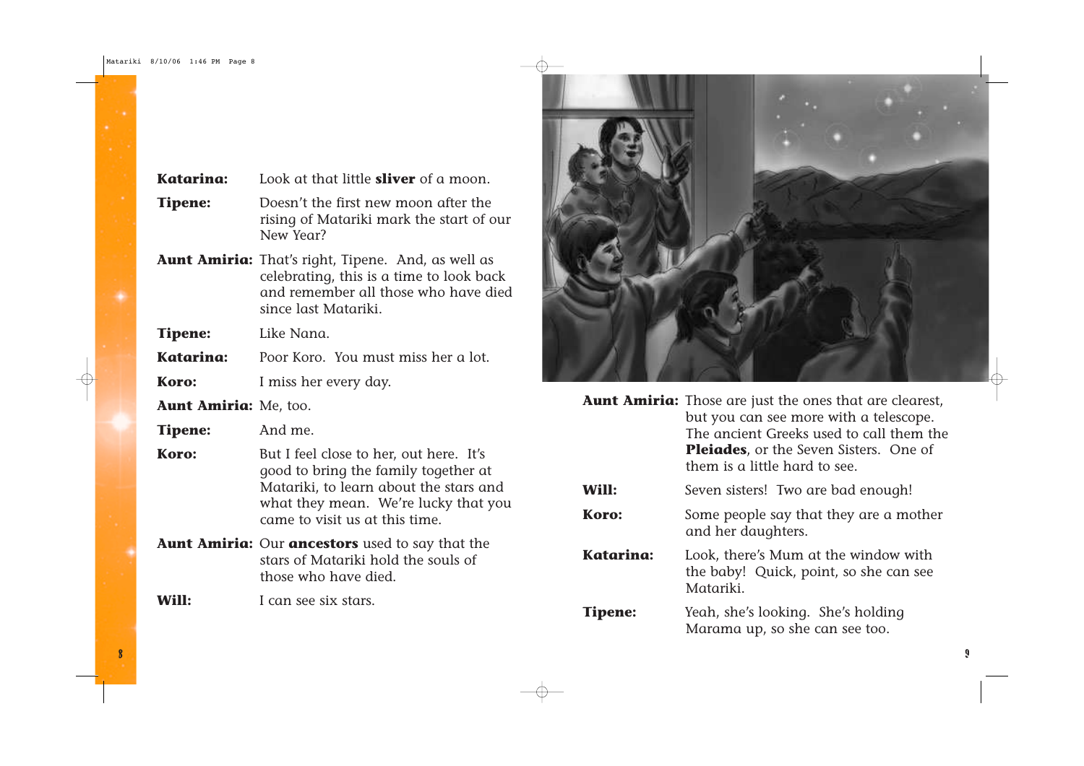|                  | <b>Aunt Amiria:</b> Those are just the ones<br>but you can see more y<br>The ancient Greeks use<br><b>Pleiades</b> , or the Sever<br>them is a little hard to |
|------------------|---------------------------------------------------------------------------------------------------------------------------------------------------------------|
| Will:            | Seven sisters! Two are                                                                                                                                        |
| Koro:            | Some people say that t<br>and her daughters.                                                                                                                  |
| <b>Katarina:</b> | Look, there's Mum at t<br>the baby! Quick, poin<br>Matariki.                                                                                                  |
| <b>Tipene:</b>   | Yeah, she's looking. Sh<br>Marama up, so she cal                                                                                                              |

that are clearest, with a telescope. ed to call them the n Sisters. One of see.

bad enough!

they are a mother

the window with it, so she can see

**The's holding** In see too.

- **Tipene:** Doesn't the first new moon after the rising of Matariki mark the start of our New Year?
- **Aunt Amiria:** That's right, Tipene. And, as well as celebrating, this is a time to look back and remember all those who have died since last Matariki.

| Katarina:<br>Look at that little <b>sliver</b> of a moon. |  |
|-----------------------------------------------------------|--|
|-----------------------------------------------------------|--|

**Koro:** But I feel close to her, out here. It's good to bring the family together at Matariki, to learn about the stars and what they mean. We're lucky that you came to visit us at this time.

- **Aunt Amiria:** Our **ancestors** used to say that the stars of Matariki hold the souls of those who have died.
- **Will:** I can see six stars.



**Tipene:** Like Nana.

**Katarina:** Poor Koro. You must miss her a lot.

**Koro:** I miss her every day.

#### **Aunt Amiria:** Me, too.

**Tipene:** And me.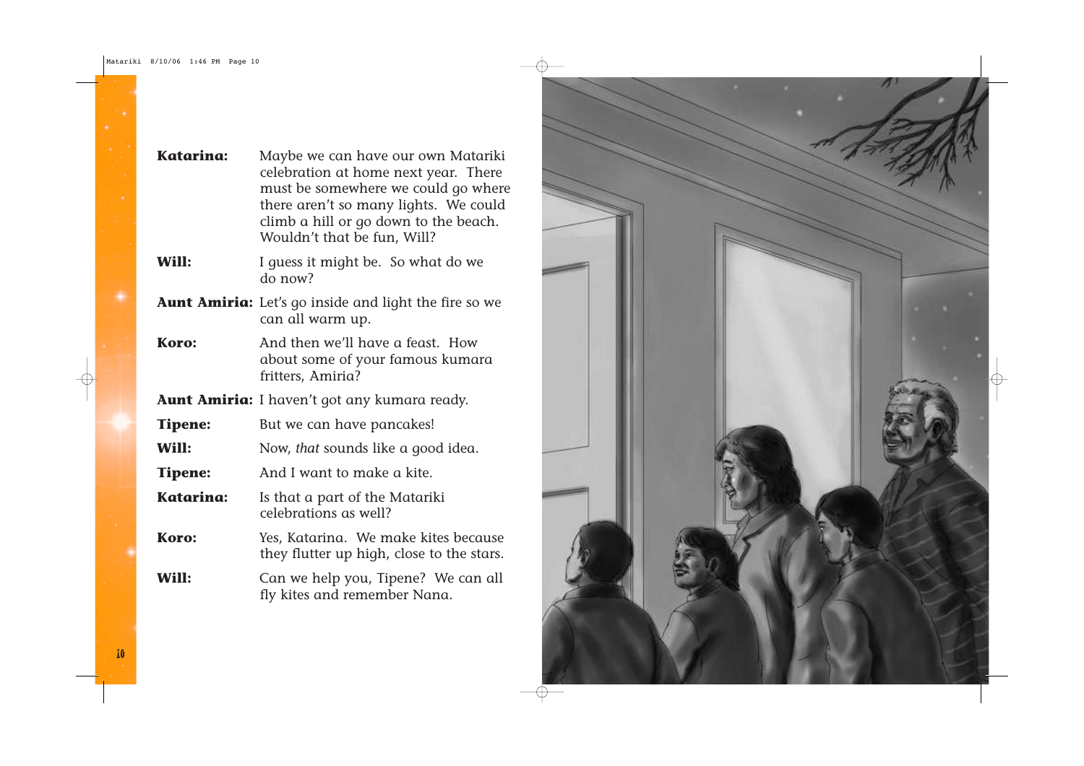| Katarina:        | Maybe we can have our own Matariki<br>celebration at home next year. There<br>must be somewhere we could go where<br>there aren't so many lights. We could<br>climb a hill or go down to the beach.<br>Wouldn't that be fun, Will? |
|------------------|------------------------------------------------------------------------------------------------------------------------------------------------------------------------------------------------------------------------------------|
| Will:            | I guess it might be. So what do we<br>do now?                                                                                                                                                                                      |
|                  | <b>Aunt Amiria:</b> Let's go inside and light the fire so we<br>can all warm up.                                                                                                                                                   |
| Koro:            | And then we'll have a feast. How<br>about some of your famous kumara<br>fritters, Amiria?                                                                                                                                          |
|                  | <b>Aunt Amiria:</b> I haven't got any kumara ready.                                                                                                                                                                                |
| <b>Tipene:</b>   | But we can have pancakes!                                                                                                                                                                                                          |
| Will:            | Now, <i>that</i> sounds like a good idea.                                                                                                                                                                                          |
| <b>Tipene:</b>   | And I want to make a kite.                                                                                                                                                                                                         |
| <b>Katarina:</b> | Is that a part of the Matariki<br>celebrations as well?                                                                                                                                                                            |
| Koro:            | Yes, Katarina. We make kites because<br>they flutter up high, close to the stars.                                                                                                                                                  |
| Will:            | Can we help you, Tipene? We can all<br>fly kites and remember Nana.                                                                                                                                                                |
|                  |                                                                                                                                                                                                                                    |